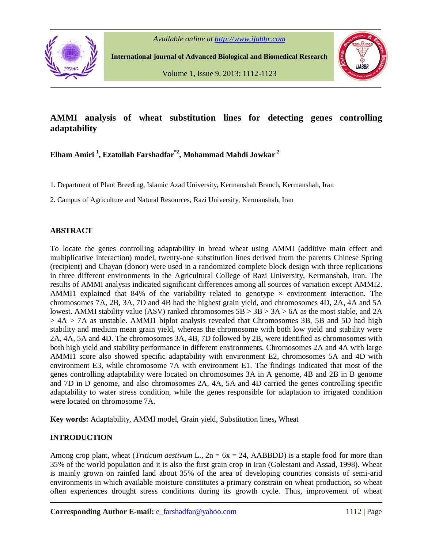

*Available online at http://www.ijabbr.com*

 **International journal of Advanced Biological and Biomedical Research**

Volume 1, Issue 9, 2013: 1112-1123



# **AMMI analysis of wheat substitution lines for detecting genes controlling adaptability**

**Elham Amiri <sup>1</sup> , Ezatollah Farshadfar\*2, Mohammad Mahdi Jowkar <sup>2</sup>**

1. Department of Plant Breeding, Islamic Azad University, Kermanshah Branch, Kermanshah, Iran

2. Campus of Agriculture and Natural Resources, Razi University, Kermanshah, Iran

### **ABSTRACT**

To locate the genes controlling adaptability in bread wheat using AMMI (additive main effect and multiplicative interaction) model, twenty-one substitution lines derived from the parents Chinese Spring (recipient) and Chayan (donor) were used in a randomized complete block design with three replications in three different environments in the Agricultural College of Razi University, Kermanshah, Iran. The results of AMMI analysis indicated significant differences among all sources of variation except AMMI2. AMMI1 explained that 84% of the variability related to genotype  $\times$  environment interaction. The chromosomes 7A, 2B, 3A, 7D and 4B had the highest grain yield, and chromosomes 4D, 2A, 4A and 5A lowest. AMMI stability value (ASV) ranked chromosomes 5B > 3B > 3A > 6A as the most stable, and 2A  $> 4A > 7A$  as unstable. AMMI1 biplot analysis revealed that Chromosomes 3B, 5B and 5D had high stability and medium mean grain yield, whereas the chromosome with both low yield and stability were 2A, 4A, 5A and 4D. The chromosomes 3A, 4B, 7D followed by 2B, were identified as chromosomes with both high yield and stability performance in different environments. Chromosomes 2A and 4A with large AMMI1 score also showed specific adaptability with environment E2, chromosomes 5A and 4D with environment E3, while chromosome 7A with environment E1. The findings indicated that most of the genes controlling adaptability were located on chromosomes 3A in A genome, 4B and 2B in B genome and 7D in D genome, and also chromosomes 2A, 4A, 5A and 4D carried the genes controlling specific adaptability to water stress condition, while the genes responsible for adaptation to irrigated condition were located on chromosome 7A.

**Key words:** Adaptability, AMMI model, Grain yield, Substitution lines**,** Wheat

# **INTRODUCTION**

Among crop plant, wheat (*Triticum aestivum* L., 2n = 6x = 24, AABBDD) is a staple food for more than 35% of the world population and it is also the first grain crop in Iran (Golestani and Assad, 1998). Wheat is mainly grown on rainfed land about 35% of the area of developing countries consists of semi-arid environments in which available moisture constitutes a primary constrain on wheat production, so wheat often experiences drought stress conditions during its growth cycle. Thus, improvement of wheat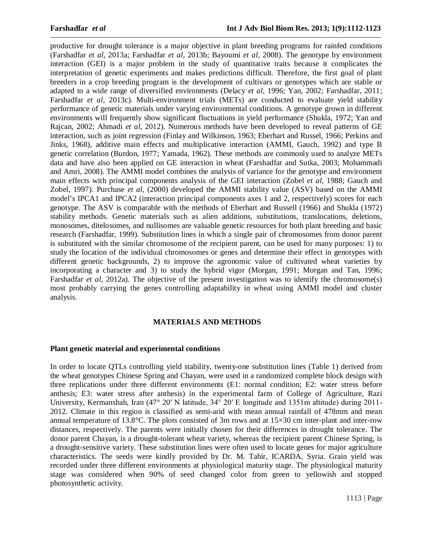productive for drought tolerance is a major objective in plant breeding programs for rainfed conditions (Farshadfar *et al,* 2013a; Farshadfar *et al,* 2013b; Bayoumi *et al,* 2008). The genotype by environment interaction (GEI) is a major problem in the study of quantitative traits because it complicates the interpretation of genetic experiments and makes predictions difficult. Therefore, the first goal of plant breeders in a crop breeding program is the development of cultivars or genotypes which are stable or adapted to a wide range of diversified environments (Delacy *et al,* 1996; Yan, 2002; Farshadfar, 2011; Farshadfar *et al,* 2013c). Multi-environment trials (METs) are conducted to evaluate yield stability performance of genetic materials under varying environmental conditions. A genotype grown in different environments will frequently show significant fluctuations in yield performance (Shukla, 1972; Yan and Rajcan, 2002; Ahmadi *et al,* 2012). Numerous methods have been developed to reveal patterns of GE interaction, such as joint regression (Finlay and Wilkinson, 1963; Eberhart and Russel, 1966; Perkins and Jinks, 1968), additive main effects and multiplicative interaction (AMMI, Gauch, 1992) and type B genetic correlation (Burdon, 1977; Yamada, 1962). These methods are commonly used to analyze METs data and have also been applied on GE interaction in wheat (Farshadfar and Sutka, 2003; Mohammadi and Amri, 2008). The AMMI model combines the analysis of variance for the genotype and environment main effects with principal components analysis of the GEI interaction (Zobel *et al,* 1988; Gauch and Zobel, 1997). Purchase *et al*, (2000) developed the AMMI stability value (ASV) based on the AMMI model's IPCA1 and IPCA2 (interaction principal components axes 1 and 2, respectively) scores for each genotype. The ASV is comparable with the methods of Eberhart and Russell (1966) and Shukla (1972) stability methods. Genetic materials such as alien additions, substitutions, translocations, deletions, monosomes, ditelosomes, and nullisomes are valuable genetic resources for both plant breeding and basic research (Farshadfar, 1999). Substitution lines in which a single pair of chromosomes from donor parent is substituted with the similar chromosome of the recipient parent, can be used for many purposes: 1) to study the location of the individual chromosomes or genes and determine their effect in genotypes with different genetic backgrounds, 2) to improve the agronomic value of cultivated wheat varieties by incorporating a character and 3) to study the hybrid vigor (Morgan, 1991; Morgan and Tan, 1996; Farshadfar *et al.* 2012a). The objective of the present investigation was to identify the chromosome(s) most probably carrying the genes controlling adaptability in wheat using AMMI model and cluster analysis.

#### **MATERIALS AND METHODS**

#### **Plant genetic material and experimental conditions**

In order to locate QTLs controlling yield stability, twenty-one substitution lines (Table 1) derived from the wheat genotypes Chinese Spring and Chayan, were used in a randomized complete block design with three replications under three different environments (E1: normal condition; E2: water stress before anthesis; E3: water stress after anthesis) in the experimental farm of College of Agriculture, Razi University, Kermanshah, Iran (47° 20′ N latitude, 34° 20′ E longitude and 1351m altitude) during 2011- 2012. Climate in this region is classified as semi-arid with mean annual rainfall of 478mm and mean annual temperature of 13.8°C. The plots consisted of 3m rows and at 15×30 cm inter-plant and inter-row distances, respectively. The parents were initially chosen for their differences in drought tolerance. The donor parent Chayan, is a drought-tolerant wheat variety, whereas the recipient parent Chinese Spring, is a drought-sensitive variety. These substitution lines were often used to locate genes for major agriculture characteristics. The seeds were kindly provided by Dr. M. Tahir, ICARDA, Syria. Grain yield was recorded under three different environments at physiological maturity stage. The physiological maturity stage was considered when 90% of seed changed color from green to yellowish and stopped photosynthetic activity.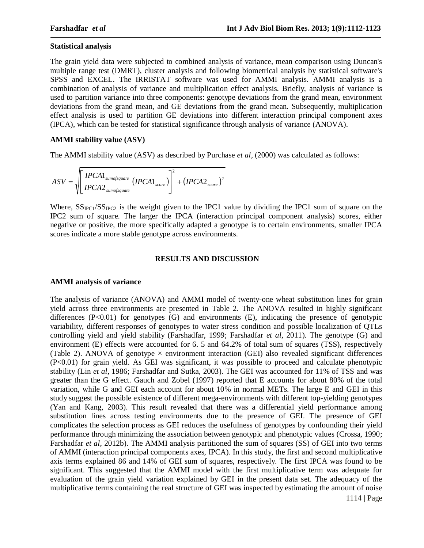## **Statistical analysis**

The grain yield data were subjected to combined analysis of variance, mean comparison using Duncan's multiple range test (DMRT), cluster analysis and following biometrical analysis by statistical software's SPSS and EXCEL. The IRRISTAT software was used for AMMI analysis. AMMI analysis is a combination of analysis of variance and multiplication effect analysis. Briefly, analysis of variance is used to partition variance into three components: genotype deviations from the grand mean, environment deviations from the grand mean, and GE deviations from the grand mean. Subsequently, multiplication effect analysis is used to partition GE deviations into different interaction principal component axes (IPCA), which can be tested for statistical significance through analysis of variance (ANOVA).

### **AMMI stability value (ASV)**

The AMMI stability value (ASV) as described by Purchase *et al,* (2000) was calculated as follows:

$$
ASV = \sqrt{\left[\frac{IPCA1_{\text{sumofsquare}}}{IPCA2_{\text{sumofsquare}}}(IPCA1_{\text{score}})\right]^2 + (IPCA2_{\text{score}})^2}
$$

Where,  $SS_{\text{IPC}1}/SS_{\text{IPC}2}$  is the weight given to the IPC1 value by dividing the IPC1 sum of square on the IPC2 sum of square. The larger the IPCA (interaction principal component analysis) scores, either negative or positive, the more specifically adapted a genotype is to certain environments, smaller IPCA scores indicate a more stable genotype across environments.

### **RESULTS AND DISCUSSION**

# **AMMI analysis of variance**

The analysis of variance (ANOVA) and AMMI model of twenty-one wheat substitution lines for grain yield across three environments are presented in Table 2. The ANOVA resulted in highly significant differences  $(P<0.01)$  for genotypes  $(G)$  and environments  $(E)$ , indicating the presence of genotypic variability, different responses of genotypes to water stress condition and possible localization of QTLs controlling yield and yield stability (Farshadfar, 1999; Farshadfar *et al,* 2011). The genotype (G) and environment (E) effects were accounted for 6. 5 and 64.2% of total sum of squares (TSS), respectively (Table 2). ANOVA of genotype  $\times$  environment interaction (GEI) also revealed significant differences (P<0.01) for grain yield. As GEI was significant, it was possible to proceed and calculate phenotypic stability (Lin *et al,* 1986; Farshadfar and Sutka, 2003). The GEI was accounted for 11% of TSS and was greater than the G effect. Gauch and Zobel (1997) reported that E accounts for about 80% of the total variation, while G and GEI each account for about 10% in normal METs. The large E and GEI in this study suggest the possible existence of different mega-environments with different top-yielding genotypes (Yan and Kang, 2003). This result revealed that there was a differential yield performance among substitution lines across testing environments due to the presence of GEI. The presence of GEI complicates the selection process as GEI reduces the usefulness of genotypes by confounding their yield performance through minimizing the association between genotypic and phenotypic values (Crossa, 1990; Farshadfar *et al,* 2012b). The AMMI analysis partitioned the sum of squares (SS) of GEI into two terms of AMMI (interaction principal components axes, IPCA). In this study, the first and second multiplicative axis terms explained 86 and 14% of GEI sum of squares, respectively. The first IPCA was found to be significant. This suggested that the AMMI model with the first multiplicative term was adequate for evaluation of the grain yield variation explained by GEI in the present data set. The adequacy of the multiplicative terms containing the real structure of GEI was inspected by estimating the amount of noise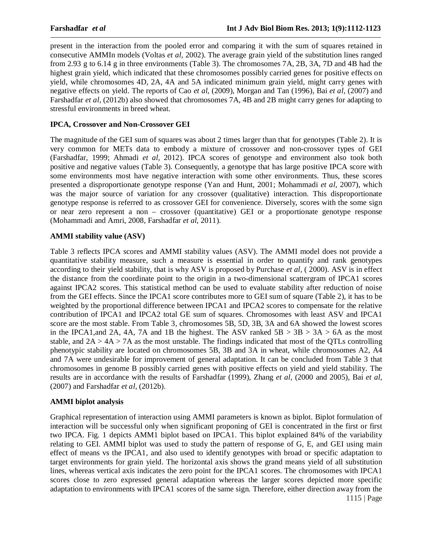present in the interaction from the pooled error and comparing it with the sum of squares retained in consecutive AMMIn models (Voltas *et al,* 2002). The average grain yield of the substitution lines ranged from 2.93 g to 6.14 g in three environments (Table 3). The chromosomes 7A, 2B, 3A, 7D and 4B had the highest grain yield, which indicated that these chromosomes possibly carried genes for positive effects on yield, while chromosomes 4D, 2A, 4A and 5A indicated minimum grain yield, might carry genes with negative effects on yield. The reports of Cao *et al,* (2009), Morgan and Tan (1996), Bai *et al,* (2007) and Farshadfar *et al,* (2012b) also showed that chromosomes 7A, 4B and 2B might carry genes for adapting to stressful environments in breed wheat.

## **IPCA, Crossover and Non-Crossover GEI**

The magnitude of the GEI sum of squares was about 2 times larger than that for genotypes (Table 2). It is very common for METs data to embody a mixture of crossover and non-crossover types of GEI (Farshadfar, 1999; Ahmadi *et al,* 2012). IPCA scores of genotype and environment also took both positive and negative values (Table 3). Consequently, a genotype that has large positive IPCA score with some environments most have negative interaction with some other environments. Thus, these scores presented a disproportionate genotype response (Yan and Hunt, 2001; Mohammadi *et al,* 2007), which was the major source of variation for any crossover (qualitative) interaction. This disproportionate genotype response is referred to as crossover GEI for convenience. Diversely, scores with the some sign or near zero represent a non – crossover (quantitative) GEI or a proportionate genotype response (Mohammadi and Amri, 2008, Farshadfar *et al,* 2011).

# **AMMI stability value (ASV)**

Table 3 reflects IPCA scores and AMMI stability values (ASV). The AMMI model does not provide a quantitative stability measure, such a measure is essential in order to quantify and rank genotypes according to their yield stability, that is why ASV is proposed by Purchase *et al,* ( 2000). ASV is in effect the distance from the coordinate point to the origin in a two-dimensional scattergram of IPCA1 scores against IPCA2 scores. This statistical method can be used to evaluate stability after reduction of noise from the GEI effects. Since the IPCA1 score contributes more to GEI sum of square (Table 2), it has to be weighted by the proportional difference between IPCA1 and IPCA2 scores to compensate for the relative contribution of IPCA1 and IPCA2 total GE sum of squares. Chromosomes with least ASV and IPCA1 score are the most stable. From Table 3, chromosomes 5B, 5D, 3B, 3A and 6A showed the lowest scores in the IPCA1, and 2A, 4A, 7A and 1B the highest. The ASV ranked  $5B > 3B > 3A > 6A$  as the most stable, and  $2A > 4A > 7A$  as the most unstable. The findings indicated that most of the QTLs controlling phenotypic stability are located on chromosomes 5B, 3B and 3A in wheat, while chromosomes A2, A4 and 7A were undesirable for improvement of general adaptation. It can be concluded from Table 3 that chromosomes in genome B possibly carried genes with positive effects on yield and yield stability. The results are in accordance with the results of Farshadfar (1999), Zhang *et al,* (2000 and 2005), Bai *et al,* (2007) and Farshadfar *et al,* (2012b).

# **AMMI biplot analysis**

 1115 | Page Graphical representation of interaction using AMMI parameters is known as biplot. Biplot formulation of interaction will be successful only when significant proponing of GEI is concentrated in the first or first two IPCA. Fig. 1 depicts AMM1 biplot based on IPCA1. This biplot explained 84% of the variability relating to GEI. AMMI biplot was used to study the pattern of response of G, E, and GEI using main effect of means vs the IPCA1, and also used to identify genotypes with broad or specific adaptation to target environments for grain yield. The horizontal axis shows the grand means yield of all substitution lines, whereas vertical axis indicates the zero point for the IPCA1 scores. The chromosomes with IPCA1 scores close to zero expressed general adaptation whereas the larger scores depicted more specific adaptation to environments with IPCA1 scores of the same sign. Therefore, either direction away from the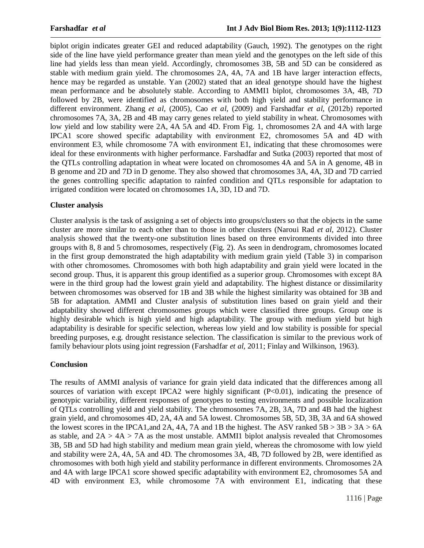biplot origin indicates greater GEI and reduced adaptability (Gauch, 1992). The genotypes on the right side of the line have yield performance greater than mean yield and the genotypes on the left side of this line had yields less than mean yield. Accordingly, chromosomes 3B, 5B and 5D can be considered as stable with medium grain yield. The chromosomes 2A, 4A, 7A and 1B have larger interaction effects, hence may be regarded as unstable. Yan (2002) stated that an ideal genotype should have the highest mean performance and be absolutely stable. According to AMMI1 biplot, chromosomes 3A, 4B, 7D followed by 2B, were identified as chromosomes with both high yield and stability performance in different environment. Zhang *et al,* (2005), Cao *et al,* (2009) and Farshadfar *et al,* (2012b) reported chromosomes 7A, 3A, 2B and 4B may carry genes related to yield stability in wheat. Chromosomes with low yield and low stability were 2A, 4A 5A and 4D. From Fig. 1, chromosomes 2A and 4A with large IPCA1 score showed specific adaptability with environment E2, chromosomes 5A and 4D with environment E3, while chromosome 7A with environment E1, indicating that these chromosomes were ideal for these environments with higher performance. Farshadfar and Sutka (2003) reported that most of the QTLs controlling adaptation in wheat were located on chromosomes 4A and 5A in A genome, 4B in B genome and 2D and 7D in D genome. They also showed that chromosomes 3A, 4A, 3D and 7D carried the genes controlling specific adaptation to rainfed condition and QTLs responsible for adaptation to irrigated condition were located on chromosomes 1A, 3D, 1D and 7D.

# **Cluster analysis**

Cluster analysis is the task of assigning a set of objects into groups/clusters so that the objects in the same cluster are more similar to each other than to those in other clusters (Naroui Rad *et al,* 2012). Cluster analysis showed that the twenty-one substitution lines based on three environments divided into three groups with 8, 8 and 5 chromosomes, respectively (Fig. 2). As seen in dendrogram, chromosomes located in the first group demonstrated the high adaptability with medium grain yield (Table 3) in comparison with other chromosomes. Chromosomes with both high adaptability and grain yield were located in the second group. Thus, it is apparent this group identified as a superior group. Chromosomes with except 8A were in the third group had the lowest grain yield and adaptability. The highest distance or dissimilarity between chromosomes was observed for 1B and 3B while the highest similarity was obtained for 3B and 5B for adaptation. AMMI and Cluster analysis of substitution lines based on grain yield and their adaptability showed different chromosomes groups which were classified three groups. Group one is highly desirable which is high yield and high adaptability. The group with medium yield but high adaptability is desirable for specific selection, whereas low yield and low stability is possible for special breeding purposes, e.g. drought resistance selection. The classification is similar to the previous work of family behaviour plots using joint regression (Farshadfar *et al,* 2011; Finlay and Wilkinson, 1963).

# **Conclusion**

The results of AMMI analysis of variance for grain yield data indicated that the differences among all sources of variation with except IPCA2 were highly significant (P<0.01), indicating the presence of genotypic variability, different responses of genotypes to testing environments and possible localization of QTLs controlling yield and yield stability. The chromosomes 7A, 2B, 3A, 7D and 4B had the highest grain yield, and chromosomes 4D, 2A, 4A and 5A lowest. Chromosomes 5B, 5D, 3B, 3A and 6A showed the lowest scores in the IPCA1, and 2A, 4A, 7A and 1B the highest. The ASV ranked  $5B > 3B > 3A > 6A$ as stable, and  $2A > 4A > 7A$  as the most unstable. AMMI1 biplot analysis revealed that Chromosomes 3B, 5B and 5D had high stability and medium mean grain yield, whereas the chromosome with low yield and stability were 2A, 4A, 5A and 4D. The chromosomes 3A, 4B, 7D followed by 2B, were identified as chromosomes with both high yield and stability performance in different environments. Chromosomes 2A and 4A with large IPCA1 score showed specific adaptability with environment E2, chromosomes 5A and 4D with environment E3, while chromosome 7A with environment E1, indicating that these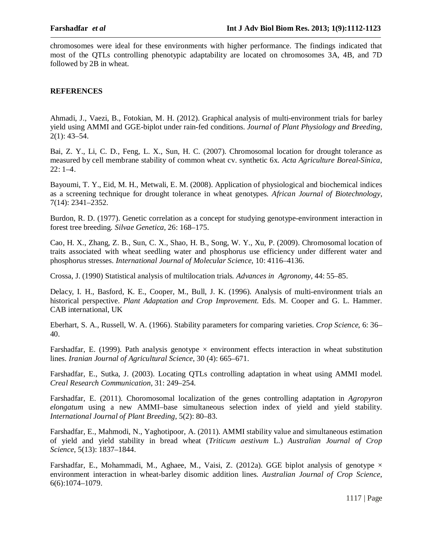chromosomes were ideal for these environments with higher performance. The findings indicated that most of the QTLs controlling phenotypic adaptability are located on chromosomes 3A, 4B, and 7D followed by 2B in wheat.

### **REFERENCES**

Ahmadi, J., Vaezi, B., Fotokian, M. H. (2012). Graphical analysis of multi-environment trials for barley yield using AMMI and GGE-biplot under rain-fed conditions. *Journal of Plant Physiology and Breeding,*  $2(1): 43-54.$ 

Bai, Z. Y., Li, C. D., Feng, L. X., Sun, H. C. (2007). Chromosomal location for drought tolerance as measured by cell membrane stability of common wheat cv. synthetic 6x. *Acta Agriculture Boreal-Sinica*, 22: 1–4.

Bayoumi, T. Y., Eid, M. H., Metwali, E. M. (2008). Application of physiological and biochemical indices as a screening technique for drought tolerance in wheat genotypes. *African Journal of Biotechnology*, 7(14): 2341–2352.

Burdon, R. D. (1977). Genetic correlation as a concept for studying genotype-environment interaction in forest tree breeding. *Silvae Genetica,* 26: 168–175.

Cao, H. X., Zhang, Z. B., Sun, C. X., Shao, H. B., Song, W. Y., Xu, P. (2009). Chromosomal location of traits associated with wheat seedling water and phosphorus use efficiency under different water and phosphorus stresses. *International Journal of Molecular Science,* 10: 4116–4136.

Crossa, J. (1990) Statistical analysis of multilocation trials*. Advances in Agronomy,* 44: 55–85.

Delacy, I. H., Basford, K. E., Cooper, M., Bull, J. K. (1996). Analysis of multi-environment trials an historical perspective. *Plant Adaptation and Crop Improvement*. Eds. M. Cooper and G. L. Hammer. CAB international, UK

Eberhart, S. A., Russell, W. A. (1966). Stability parameters for comparing varieties. *Crop Science*, 6: 36– 40.

Farshadfar, E. (1999). Path analysis genotype  $\times$  environment effects interaction in wheat substitution lines. *Iranian Journal of Agricultural Science*, 30 (4): 665–671.

Farshadfar, E., Sutka, J. (2003). Locating QTLs controlling adaptation in wheat using AMMI model. *Creal Research Communication*, 31: 249–254.

Farshadfar, E. (2011). Choromosomal localization of the genes controlling adaptation in *Agropyron elongatum* using a new AMMI–base simultaneous selection index of yield and yield stability. *International Journal of Plant Breeding*, 5(2): 80–83.

Farshadfar, E., Mahmodi, N., Yaghotipoor, A. (2011). AMMI stability value and simultaneous estimation of yield and yield stability in bread wheat (*Triticum aestivum* L.) *Australian Journal of Crop Science*, 5(13): 1837–1844.

Farshadfar, E., Mohammadi, M., Aghaee, M., Vaisi, Z. (2012a). GGE biplot analysis of genotype  $\times$ environment interaction in wheat-barley disomic addition lines. *Australian Journal of Crop Science*, 6(6):1074–1079.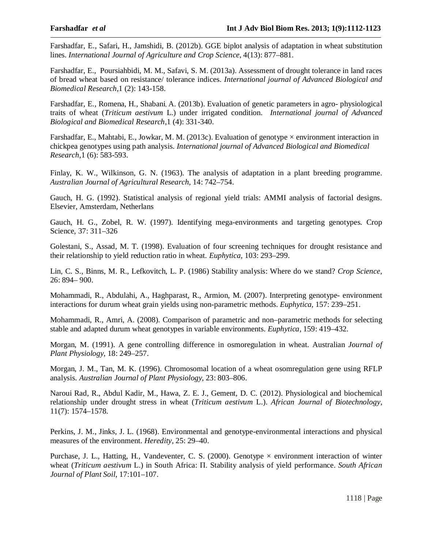Farshadfar, E., Safari, H., Jamshidi, B. (2012b). GGE biplot analysis of adaptation in wheat substitution lines. *International Journal of Agriculture and Crop Science*, 4(13): 877–881.

Farshadfar, E., Poursiahbidi, M. M., Safavi, S. M. (2013a). Assessment of drought tolerance in land races of bread wheat based on resistance/ tolerance indices. *International journal of Advanced Biological and Biomedical Research*,1 (2): 143-158.

Farshadfar, E., Romena, H., Shabani, A. (2013b). Evaluation of genetic parameters in agro- physiological traits of wheat (*Triticum aestivum* L.) under irrigated condition. *International journal of Advanced Biological and Biomedical Research*,1 (4): 331-340.

Farshadfar, E., Mahtabi, E., Jowkar, M. M. (2013c). Evaluation of genotype × environment interaction in chickpea genotypes using path analysis. *International journal of Advanced Biological and Biomedical Research*,1 (6): 583-593.

Finlay, K. W., Wilkinson, G. N. (1963). The analysis of adaptation in a plant breeding programme. *Australian Journal of Agricultural Research,* 14: 742–754.

Gauch, H. G. (1992). Statistical analysis of regional yield trials: AMMI analysis of factorial designs. Elsevier, Amsterdam, Netherlans

Gauch, H. G., Zobel, R. W. (1997). Identifying mega-environments and targeting genotypes. Crop Science, 37: 311–326

Golestani, S., Assad, M. T. (1998). Evaluation of four screening techniques for drought resistance and their relationship to yield reduction ratio in wheat. *Euphytica*, 103: 293–299.

Lin, C. S., Binns, M. R., Lefkovitch, L. P. (1986) Stability analysis: Where do we stand? *Crop Science,* 26: 894– 900.

Mohammadi, R., Abdulahi, A., Haghparast, R., Armion, M. (2007). Interpreting genotype- environment interactions for durum wheat grain yields using non-parametric methods. *Euphytica,* 157: 239–251.

Mohammadi, R., Amri, A. (2008). Comparison of parametric and non–parametric methods for selecting stable and adapted durum wheat genotypes in variable environments. *Euphytica,* 159: 419–432.

Morgan, M. (1991). A gene controlling difference in osmoregulation in wheat. Australian *Journal of Plant Physiology*, 18: 249–257.

Morgan, J. M., Tan, M. K. (1996). Chromosomal location of a wheat osomregulation gene using RFLP analysis. *Australian Journal of Plant Physiology,* 23: 803–806.

Naroui Rad, R., Abdul Kadir, M., Hawa, Z. E. J., Gement, D. C. (2012). Physiological and biochemical relationship under drought stress in wheat (*Triticum aestivum* L.). *African Journal of Biotechnology*, 11(7): 1574–1578.

Perkins, J. M., Jinks, J. L. (1968). Environmental and genotype-environmental interactions and physical measures of the environment. *Heredity,* 25: 29–40.

Purchase, J. L., Hatting, H., Vandeventer, C. S. (2000). Genotype  $\times$  environment interaction of winter wheat (*Triticum aestivum* L.) in South Africa: Π. Stability analysis of yield performance. *South African Journal of Plant Soil*, 17:101–107.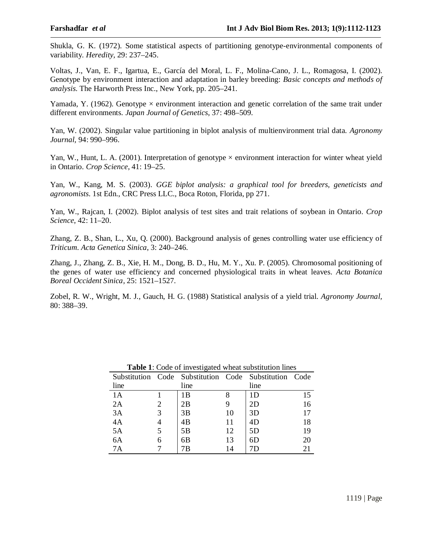Shukla, G. K. (1972). Some statistical aspects of partitioning genotype-environmental components of variability. *Heredity,* 29: 237–245.

Voltas, J., Van, E. F., Igartua, E., García del Moral, L. F., Molina-Cano, J. L., Romagosa, I. (2002). Genotype by environment interaction and adaptation in barley breeding: *Basic concepts and methods of analysis.* The Harworth Press Inc., New York, pp. 205–241.

Yamada, Y. (1962). Genotype  $\times$  environment interaction and genetic correlation of the same trait under different environments. *Japan Journal of Genetics*, 37: 498–509.

Yan, W. (2002). Singular value partitioning in biplot analysis of multienvironment trial data. *Agronomy Journal,* 94: 990–996.

Yan, W., Hunt, L. A. (2001). Interpretation of genotype  $\times$  environment interaction for winter wheat yield in Ontario. *Crop Science*, 41: 19–25.

Yan, W., Kang, M. S. (2003). *GGE biplot analysis: a graphical tool for breeders, geneticists and agronomists*. 1st Edn., CRC Press LLC., Boca Roton, Florida, pp 271.

Yan, W., Rajcan, I. (2002). Biplot analysis of test sites and trait relations of soybean in Ontario. *Crop Science*, 42: 11–20.

Zhang, Z. B., Shan, L., Xu, Q. (2000). Background analysis of genes controlling water use efficiency of *Triticum*. *Acta Genetica Sinica*, 3: 240–246.

Zhang, J., Zhang, Z. B., Xie, H. M., Dong, B. D., Hu, M. Y., Xu. P. (2005). Chromosomal positioning of the genes of water use efficiency and concerned physiological traits in wheat leaves. *Acta Botanica Boreal Occident Sinica,* 25: 1521–1527.

Zobel, R. W., Wright, M. J., Gauch, H. G. (1988) Statistical analysis of a yield trial. *Agronomy Journal,* 80: 388–39.

|      |   | Substitution Code Substitution Code Substitution Code |    |                |    |
|------|---|-------------------------------------------------------|----|----------------|----|
| line |   | line                                                  |    | line           |    |
| 1A   |   | 1B                                                    |    | 1 <sub>D</sub> | 15 |
| 2A   |   | 2B                                                    |    | 2D             | 16 |
| 3A   |   | 3B                                                    | 10 | 3D             | 17 |
| 4A   |   | 4B                                                    | 11 | 4D             | 18 |
| 5A   |   | 5B                                                    | 12 | 5D             | 19 |
| 6A   | 6 | 6B                                                    | 13 | 6D             | 20 |
| 7Α   |   | 7Β                                                    | 14 |                | 21 |

**Table 1**: Code of investigated wheat substitution lines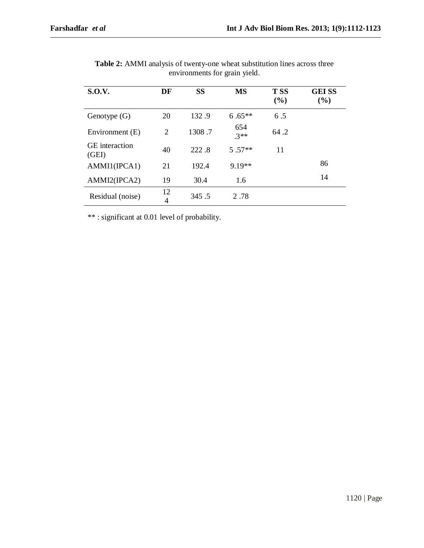| <b>S.O.V.</b>                  | DF             | <b>SS</b> | <b>MS</b>     | <b>TSS</b><br>(%) | <b>GEISS</b><br>(%) |
|--------------------------------|----------------|-----------|---------------|-------------------|---------------------|
| Genotype $(G)$                 | 20             | 132.9     | $6.65**$      | 6.5               |                     |
| Environment (E)                | $\overline{2}$ | 1308.7    | 654<br>$.3**$ | 64.2              |                     |
| <b>GE</b> interaction<br>(GEI) | 40             | 222.8     | $5.57**$      | 11                |                     |
| AMMI1(IPCA1)                   | 21             | 192.4     | $9.19**$      |                   | 86                  |
| AMMI2(IPCA2)                   | 19             | 30.4      | 1.6           |                   | 14                  |
| Residual (noise)               | 12<br>4        | 345.5     | 2.78          |                   |                     |

**Table 2:** AMMI analysis of twenty-one wheat substitution lines across three environments for grain yield.

\*\* : significant at 0.01 level of probability.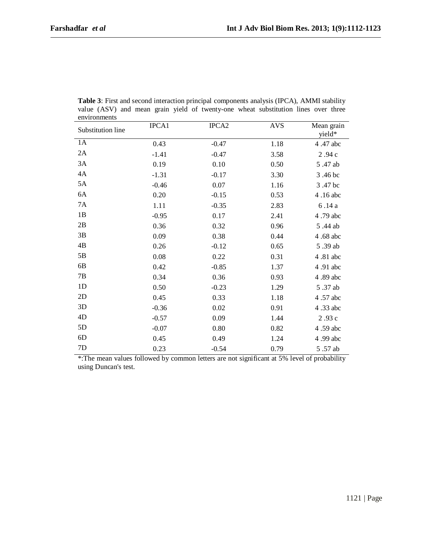| Substitution line | IPCA1   | IPCA <sub>2</sub> | <b>AVS</b> | Mean grain<br>yield* |
|-------------------|---------|-------------------|------------|----------------------|
| 1A                | 0.43    | $-0.47$           | 1.18       | 4.47 abc             |
| 2A                | $-1.41$ | $-0.47$           | 3.58       | 2.94 c               |
| 3A                | 0.19    | 0.10              | 0.50       | 5.47 ab              |
| 4A                | $-1.31$ | $-0.17$           | 3.30       | 3.46 bc              |
| 5A                | $-0.46$ | 0.07              | 1.16       | 3.47 bc              |
| 6A                | 0.20    | $-0.15$           | 0.53       | 4.16 abc             |
| <b>7A</b>         | 1.11    | $-0.35$           | 2.83       | 6.14 a               |
| 1B                | $-0.95$ | 0.17              | 2.41       | 4.79 abc             |
| 2B                | 0.36    | 0.32              | 0.96       | 5.44 ab              |
| 3B                | 0.09    | 0.38              | 0.44       | 4.68 abc             |
| 4B                | 0.26    | $-0.12$           | 0.65       | 5.39 ab              |
| 5B                | 0.08    | 0.22              | 0.31       | 4.81 abc             |
| 6B                | 0.42    | $-0.85$           | 1.37       | 4.91 abc             |
| $7\mathrm{B}$     | 0.34    | 0.36              | 0.93       | 4.89 abc             |
| 1 <sub>D</sub>    | 0.50    | $-0.23$           | 1.29       | 5.37 ab              |
| 2D                | 0.45    | 0.33              | 1.18       | 4.57 abc             |
| 3D                | $-0.36$ | 0.02              | 0.91       | 4.33 abc             |
| 4D                | $-0.57$ | 0.09              | 1.44       | 2.93 c               |
| 5D                | $-0.07$ | 0.80              | 0.82       | 4.59 abc             |
| 6 <sub>D</sub>    | 0.45    | 0.49              | 1.24       | 4.99 abc             |
| 7D                | 0.23    | $-0.54$           | 0.79       | 5.57 ab              |

**Table 3**: First and second interaction principal components analysis (IPCA), AMMI stability value (ASV) and mean grain yield of twenty-one wheat substitution lines over three environments

\*:The mean values followed by common letters are not significant at 5% level of probability using Duncan's test.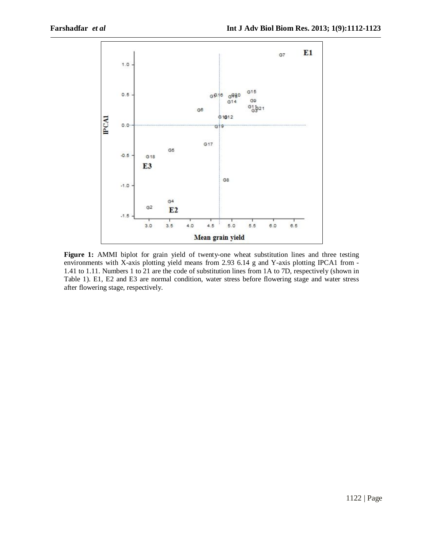

**Figure 1:** AMMI biplot for grain yield of twenty-one wheat substitution lines and three testing environments with X-axis plotting yield means from 2.93 6.14 g and Y-axis plotting IPCA1 from - 1.41 to 1.11. Numbers 1 to 21 are the code of substitution lines from 1A to 7D, respectively (shown in Table 1). E1, E2 and E3 are normal condition, water stress before flowering stage and water stress after flowering stage, respectively.